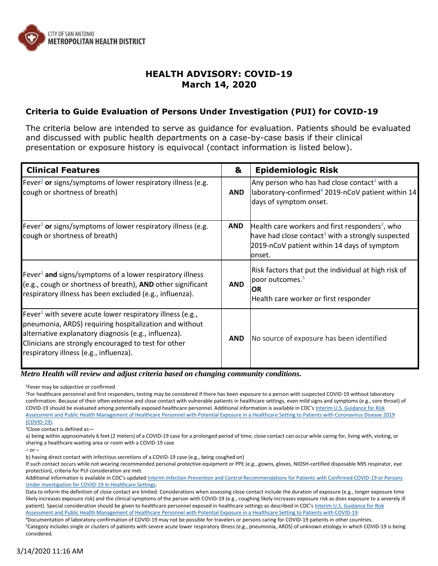

## **HEALTH ADVISORY: COVID-19 March 14, 2020**

## **Criteria to Guide Evaluation of Persons Under Investigation (PUI) for COVID-19**

The criteria below are intended to serve as guidance for evaluation. Patients should be evaluated and discussed with public health departments on a case-by-case basis if their clinical presentation or exposure history is equivocal (contact information is listed below).

| <b>Clinical Features</b>                                                                                                                                                                                                                                                                  | &          | <b>Epidemiologic Risk</b>                                                                                                                                                              |
|-------------------------------------------------------------------------------------------------------------------------------------------------------------------------------------------------------------------------------------------------------------------------------------------|------------|----------------------------------------------------------------------------------------------------------------------------------------------------------------------------------------|
| Fever <sup>1</sup> or signs/symptoms of lower respiratory illness (e.g.<br>cough or shortness of breath)                                                                                                                                                                                  | <b>AND</b> | Any person who has had close contact <sup>3</sup> with a<br>laboratory-confirmed <sup>4</sup> 2019-nCoV patient within 14<br>days of symptom onset.                                    |
| Fever <sup>1</sup> or signs/symptoms of lower respiratory illness (e.g.<br>cough or shortness of breath)                                                                                                                                                                                  | <b>AND</b> | Health care workers and first responders <sup>2</sup> , who<br>have had close contact <sup>3</sup> with a strongly suspected<br>2019-nCoV patient within 14 days of symptom<br>lonset. |
| Fever <sup>1</sup> and signs/symptoms of a lower respiratory illness<br>(e.g., cough or shortness of breath), AND other significant<br>respiratory illness has been excluded (e.g., influenza).                                                                                           | <b>AND</b> | Risk factors that put the individual at high risk of<br>poor outcomes. <sup>5</sup><br><b>OR</b><br>Health care worker or first responder                                              |
| Fever <sup>1</sup> with severe acute lower respiratory illness (e.g.,<br>pneumonia, ARDS) requiring hospitalization and without<br>alternative explanatory diagnosis (e.g., influenza).<br>Clinicians are strongly encouraged to test for other<br>respiratory illness (e.g., influenza). | <b>AND</b> | No source of exposure has been identified                                                                                                                                              |

 *Metro Health will review and adjust criteria based on changing community conditions.*

<sup>1</sup>Fever may be subjective or confirmed

<sup>2</sup>For healthcare personnel and first responders, testing may be considered if there has been exposure to a person with suspected COVID-19 without laboratory confirmation. Because of their often extensive and close contact with vulnerable patients in healthcare settings, even mild signs and symptoms (e.g., sore throat) of COVID-19 should be evaluated among potentially exposed healthcare personnel. Additional information is available in CDC's [Interim U.S. Guidance for Risk](https://www.cdc.gov/coronavirus/2019-ncov/hcp/guidance-risk-assesment-hcp.html) [Assessment and Public Health Management of Healthcare Personnel with Potential Exposure in a Healthcare Setting to Patients with Coronavirus Disease 2019](https://www.cdc.gov/coronavirus/2019-ncov/hcp/guidance-risk-assesment-hcp.html) [\(COVID-19\).](https://www.cdc.gov/coronavirus/2019-ncov/hcp/guidance-risk-assesment-hcp.html)

<sup>3</sup>Close contact is defined as—

a) being within approximately 6 feet (2 meters) of a COVID-19 case for a prolonged period of time; close contact can occur while caring for, living with, visiting, or sharing a healthcare waiting area or room with a COVID-19 case

b) having direct contact with infectious secretions of a COVID-19 case (e.g., being coughed on)

If such contact occurs while not wearing recommended personal protective equipment or PPE (e.g., gowns, gloves, NIOSH-certified disposable N95 respirator, eye protection), criteria for PUI consideration are met.

Additional information is available in CDC's updated [Interim Infection Prevention and Control Recommendations for Patients with Confirmed COVID-19 or Persons](https://www.cdc.gov/coronavirus/2019-ncov/infection-control/control-recommendations.html) [Under Investigation for COVID-19 in Healthcare Settings.](https://www.cdc.gov/coronavirus/2019-ncov/infection-control/control-recommendations.html)

Data to inform the definition of close contact are limited. Considerations when assessing close contact include the duration of exposure (e.g., longer exposure time likely increases exposure risk) and the clinical symptoms of the person with COVID-19 (e.g., coughing likely increases exposure risk as does exposure to a severely ill patient). Special consideration should be given to healthcare personnel exposed in healthcare settings as described in CDC's [Interim U.S. Guidance for Risk](https://www.cdc.gov/coronavirus/2019-ncov/hcp/guidance-risk-assesment-hcp.html) [Assessment and Public Health Management of Healthcare Personnel with Potential Exposure in a Healthcare Setting to Patients with COVID-19.](https://www.cdc.gov/coronavirus/2019-ncov/hcp/guidance-risk-assesment-hcp.html)

<sup>4</sup>Documentation of laboratory-confirmation of COVID-19 may not be possible for travelers or persons caring for COVID-19 patients in other countries.

<sup>5</sup>Category includes single or clusters of patients with severe acute lower respiratory illness (e.g., pneumonia, ARDS) of unknown etiology in which COVID-19 is being considered.

*<sup>–</sup> or –*